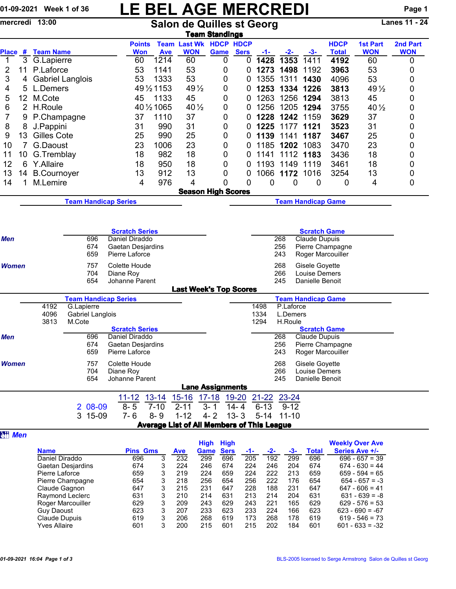## 01-09-2021 Week 1 of 36 LE BEL AGE MERCREDI Page 1

mercredi 13:00 Salon de Quilles st Georg Lanes 11 - 24

|                       |                 |                                           |                  |            |                                         |             |                                            | <b>Team Standings</b>     |                                  |            |            |                                      |                  |                  |             |
|-----------------------|-----------------|-------------------------------------------|------------------|------------|-----------------------------------------|-------------|--------------------------------------------|---------------------------|----------------------------------|------------|------------|--------------------------------------|------------------|------------------|-------------|
|                       |                 |                                           |                  |            | <b>Points</b>                           |             | <b>Team Last Wk HDCP HDCP</b>              |                           |                                  |            |            |                                      | <b>HDCP</b>      | <b>1st Part</b>  | 2nd Part    |
| <b>Place</b>          | #               | <b>Team Name</b>                          |                  |            | <b>Won</b>                              | <b>Ave</b>  | <b>WON</b>                                 | Game                      | <b>Sers</b>                      | <u>-1-</u> | <u>-2-</u> | $-3-$                                | <b>Total</b>     | <b>WON</b>       | <b>WON</b>  |
| $\mathbf{1}$          | 3               | G.Lapierre                                |                  |            | 60                                      | 1214        | 60                                         | 0                         | 0                                | 1428       | 1353       | 1411                                 | 4192             | 60               | $\mathbf 0$ |
| 2                     | 11              | P.Laforce                                 |                  |            | 53                                      | 1141        | 53                                         | 0                         | 0                                | 1273       | 1498       | 1192                                 | 3963             | 53               | 0           |
| 3                     | 4               | <b>Gabriel Langlois</b>                   |                  |            | 53                                      | 1333        | 53                                         | 0                         | 0                                | 1355       | 1311       | 1430                                 | 4096             | 53               | 0           |
| 4                     | 5               | L.Demers                                  |                  |            |                                         | 49 1/2 1153 | $49\frac{1}{2}$                            | 0                         | 0                                | 1253       | 1334       | 1226                                 | 3813             | 49 $\frac{1}{2}$ | 0           |
| 5                     | 12 <sub>2</sub> | M.Cote                                    |                  |            | 45                                      | 1133        | 45                                         | 0                         | 0                                | 1263       | 1256       | 1294                                 | 3813             | 45               | 0           |
| 6                     | $\overline{2}$  | H.Roule                                   |                  |            |                                         | 40 1/2 1065 | $40\frac{1}{2}$                            | 0                         | 0                                | 1256       | 1205       | 1294                                 | 3755             | 40 $\frac{1}{2}$ | 0           |
| 7                     | 9               | P.Champagne<br>37<br>1110                 |                  |            |                                         | 37          | 0                                          | 0                         | 1228                             | 1242       | 1159       | 3629                                 | 37               | 0                |             |
| 8                     | 8               | J.Pappini                                 |                  |            | 31                                      | 990         | 31                                         | 0                         | 0                                | 1225       | 1177       | 1121                                 | 3523             | 31               | 0           |
| 9                     | 13              | Gilles Cote                               |                  |            | 25                                      | 990         | 25                                         | 0                         | 0                                | 1139       | 1141       | 1187                                 | 3467             | 25               | 0           |
| 10                    | 7               | G.Daoust                                  |                  |            | 23                                      | 1006        | 23                                         | 0                         | 0                                | 1185       | 1202       | 1083                                 | 3470             | 23               | 0           |
| 11                    | 10              | G.Tremblay                                |                  |            | 18                                      | 982         | 18                                         | 0                         | 0                                | 1141       | 1112       | 1183                                 | 3436             | 18               | 0           |
| 12                    | 6               | Y.Allaire                                 |                  |            | 18                                      | 950         | 18                                         | 0                         | 0                                | 1193       | 1149       | 1119                                 | 3461             | 18               | 0           |
| 13                    | 14              | <b>B.Cournoyer</b>                        |                  |            | 13                                      | 912         | 13                                         | 0                         | 0                                |            | 1066 1172  | 1016                                 | 3254             | 13               | 0           |
| 14                    | 1               | M.Lemire                                  |                  |            | 4                                       | 976         | 4                                          | 0                         | 0                                | 0          | 0          | 0                                    | 0                | 4                | 0           |
|                       |                 |                                           |                  |            |                                         |             |                                            | <b>Season High Scores</b> |                                  |            |            |                                      |                  |                  |             |
|                       |                 |                                           |                  |            | <b>Team Handicap Series</b>             |             |                                            |                           |                                  |            |            | <b>Team Handicap Game</b>            |                  |                  |             |
|                       |                 |                                           |                  |            |                                         |             |                                            |                           |                                  |            |            |                                      |                  |                  |             |
|                       |                 |                                           |                  |            |                                         |             |                                            |                           |                                  |            |            |                                      |                  |                  |             |
| <b>Scratch Series</b> |                 |                                           |                  |            |                                         |             |                                            |                           | <b>Scratch Game</b>              |            |            |                                      |                  |                  |             |
| Men                   |                 |                                           |                  | 696        | Daniel Diraddo                          |             |                                            |                           |                                  |            | 268        | Claude Dupuis                        |                  |                  |             |
|                       |                 |                                           |                  | 674<br>659 | Gaetan Desjardins<br>Pierre Laforce     |             |                                            |                           |                                  |            | 256<br>243 | Roger Marcouiller                    | Pierre Champagne |                  |             |
|                       |                 |                                           |                  |            |                                         |             |                                            |                           |                                  |            |            |                                      |                  |                  |             |
| <b>Women</b>          |                 | 757                                       |                  |            | Colette Houde                           |             |                                            |                           |                                  |            | 268        | Gisele Goyette                       |                  |                  |             |
|                       |                 | 704<br>Diane Roy<br>654<br>Johanne Parent |                  |            |                                         |             |                                            |                           |                                  |            | 266<br>245 | Louise Demers<br>Danielle Benoit     |                  |                  |             |
|                       |                 |                                           |                  |            |                                         |             | <b>Last Week's Top Scores</b>              |                           |                                  |            |            |                                      |                  |                  |             |
|                       |                 |                                           |                  |            | <b>Team Handicap Series</b>             |             |                                            |                           |                                  |            |            | <b>Team Handicap Game</b>            |                  |                  |             |
|                       |                 | 4192                                      | G.Lapierre       |            |                                         |             |                                            |                           |                                  | 1498       | P.Laforce  |                                      |                  |                  |             |
|                       |                 | 4096                                      | Gabriel Langlois |            |                                         |             |                                            |                           |                                  | 1334       | L.Demers   |                                      |                  |                  |             |
|                       |                 | 3813                                      | M.Cote           |            |                                         |             |                                            |                           |                                  | 1294       | H.Roule    |                                      |                  |                  |             |
| Men                   |                 |                                           |                  | 696        | <b>Scratch Series</b><br>Daniel Diraddo |             |                                            |                           |                                  |            | 268        | <b>Scratch Game</b><br>Claude Dupuis |                  |                  |             |
|                       |                 |                                           |                  | 674        | Gaetan Desjardins                       |             |                                            |                           |                                  |            | 256        |                                      | Pierre Champagne |                  |             |
|                       |                 |                                           |                  | 659        | Pierre Laforce                          |             |                                            |                           |                                  |            | 243        | Roger Marcouiller                    |                  |                  |             |
| <b>Women</b>          |                 |                                           |                  | 757        | Colette Houde                           |             |                                            |                           |                                  |            | 268        | Gisele Goyette                       |                  |                  |             |
|                       |                 |                                           |                  | 704        | Diane Roy                               |             |                                            |                           |                                  |            | 266        | Louise Demers                        |                  |                  |             |
|                       |                 |                                           |                  | 654        | Johanne Parent                          |             |                                            |                           |                                  |            | 245        | Danielle Benoit                      |                  |                  |             |
|                       |                 |                                           |                  |            |                                         |             |                                            | <b>Lane Assignments</b>   |                                  |            |            |                                      |                  |                  |             |
|                       |                 |                                           |                  |            | $11 - 12$                               | $13 - 14$   | 15-16 17-18 19-20 21-22 23-24              |                           |                                  |            |            |                                      |                  |                  |             |
|                       |                 |                                           |                  | 2 08-09    | $8 - 5$                                 | $7 - 10$    | $2 - 11$                                   | $3 - 1$                   | $6 - 13$<br>$14 - 4$<br>$9 - 12$ |            |            |                                      |                  |                  |             |
|                       |                 |                                           |                  | 3 15-09    | $7 - 6$                                 | $8 - 9$     | $1 - 12$                                   | $4 - 2$ 13 - 3            |                                  |            | 5-14 11-10 |                                      |                  |                  |             |
|                       |                 |                                           |                  |            |                                         |             | Average List of All Members of This League |                           |                                  |            |            |                                      |                  |                  |             |
| <b>ett</b> Men        |                 |                                           |                  |            |                                         |             |                                            |                           |                                  |            |            |                                      |                  |                  |             |

|                     |                 |   |            | <b>High</b> | <b>High</b> |     |     |     |              | <b>Weekly Over Ave</b> |
|---------------------|-----------------|---|------------|-------------|-------------|-----|-----|-----|--------------|------------------------|
| <b>Name</b>         | <b>Pins Gms</b> |   | <b>Ave</b> | Game        | <b>Sers</b> | -1- | -2- | -3- | <b>Total</b> | Series Ave +/-         |
| Daniel Diraddo      | 696             | 3 | 232        | 299         | 696         | 205 | 192 | 299 | 696          | $696 - 657 = 39$       |
| Gaetan Desjardins   | 674             | 3 | 224        | 246         | 674         | 224 | 246 | 204 | 674          | $674 - 630 = 44$       |
| Pierre Laforce      | 659             | 3 | 219        | 224         | 659         | 224 | 222 | 213 | 659          | $659 - 594 = 65$       |
| Pierre Champagne    | 654             | 3 | 218        | 256         | 654         | 256 | 222 | 176 | 654          | $654 - 657 = -3$       |
| Claude Gagnon       | 647             | 3 | 215        | 231         | 647         | 228 | 188 | 231 | 647          | $647 - 606 = 41$       |
| Raymond Leclerc     | 631             | 3 | 210        | 214         | 631         | 213 | 214 | 204 | 631          | $631 - 639 = -8$       |
| Roger Marcouiller   | 629             | 3 | 209        | 243         | 629         | 243 | 221 | 165 | 629          | $629 - 576 = 53$       |
| <b>Guy Daoust</b>   | 623             | 3 | 207        | 233         | 623         | 233 | 224 | 166 | 623          | $623 - 690 = -67$      |
| Claude Dupuis       | 619             | 3 | 206        | 268         | 619         | 173 | 268 | 178 | 619          | $619 - 546 = 73$       |
| <b>Yves Allaire</b> | 601             | 3 | 200        | 215         | 601         | 215 | 202 | 184 | 601          | $601 - 633 = -32$      |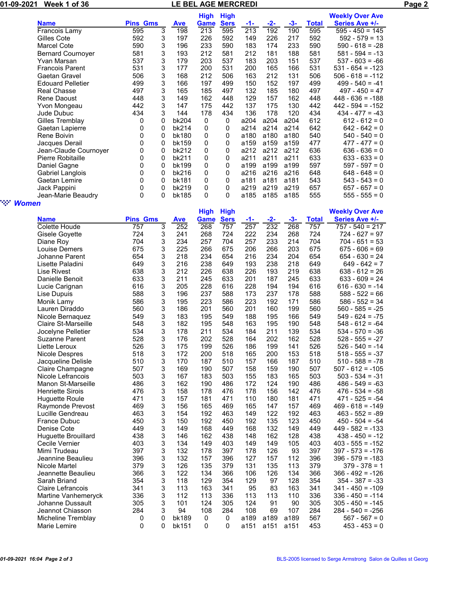01-09-2021 Week 1 of 36 LE BEL AGE MERCREDI Page 2

|                          |                 |   |            | <b>High</b> | <b>High</b> |      |       |       |       | <b>Weekly Over Ave</b> |
|--------------------------|-----------------|---|------------|-------------|-------------|------|-------|-------|-------|------------------------|
| <b>Name</b>              | <b>Pins Gms</b> |   | <b>Ave</b> | Game        | <b>Sers</b> | -1-  | $-2-$ | $-3-$ | Total | <b>Series Ave +/-</b>  |
| Francois Lamy            | 595             | 3 | 198        | 213         | 595         | 213  | 192   | 190   | 595   | $595 - 450 = 145$      |
| Gilles Cote              | 592             | 3 | 197        | 226         | 592         | 149  | 226   | 217   | 592   | $592 - 579 = 13$       |
| Marcel Cote              | 590             | 3 | 196        | 233         | 590         | 183  | 174   | 233   | 590   | $590 - 618 = -28$      |
| <b>Bernard Cournoyer</b> | 581             | 3 | 193        | 212         | 581         | 212  | 181   | 188   | 581   | $581 - 594 = -13$      |
| Yvan Marsan              | 537             | 3 | 179        | 203         | 537         | 183  | 203   | 151   | 537   | $537 - 603 = -66$      |
| <b>Francois Parent</b>   | 531             | 3 | 177        | 200         | 531         | 200  | 165   | 166   | 531   | $531 - 654 = -123$     |
| Gaetan Gravel            | 506             | 3 | 168        | 212         | 506         | 163  | 212   | 131   | 506   | $506 - 618 = -112$     |
| <b>Edouard Pelletier</b> | 499             | 3 | 166        | 197         | 499         | 150  | 152   | 197   | 499   | $499 - 540 = -41$      |
| <b>Real Chasse</b>       | 497             | 3 | 165        | 185         | 497         | 132  | 185   | 180   | 497   | $497 - 450 = 47$       |
| Rene Daoust              | 448             | 3 | 149        | 162         | 448         | 129  | 157   | 162   | 448   | $448 - 636 = -188$     |
| Yvon Mongeau             | 442             | 3 | 147        | 175         | 442         | 137  | 175   | 130   | 442   | $442 - 594 = -152$     |
| Jude Dubuc               | 434             | 3 | 144        | 178         | 434         | 136  | 178   | 120   | 434   | $434 - 477 = -43$      |
| Gilles Tremblay          | 0               | 0 | bk204      | 0           | 0           | a204 | a204  | a204  | 612   | $612 - 612 = 0$        |
| Gaetan Lapierre          | 0               | 0 | bk214      | 0           | 0           | a214 | a214  | a214  | 642   | $642 - 642 = 0$        |
| Rene Boivin              | 0               | 0 | bk180      | 0           | 0           | a180 | a180  | a180  | 540   | $540 - 540 = 0$        |
| Jacques Derail           | 0               | 0 | bk159      | 0           | 0           | a159 | a159  | a159  | 477   | $477 - 477 = 0$        |
| Jean-Claude Cournoyer    | 0               | 0 | bk212      | 0           | 0           | a212 | a212  | a212  | 636   | $636 - 636 = 0$        |
| Pierre Robitaille        | 0               | 0 | bk211      | 0           | 0           | a211 | a211  | a211  | 633   | $633 - 633 = 0$        |
| Daniel Gagne             | 0               | 0 | bk199      | 0           | 0           | a199 | a199  | a199  | 597   | $597 - 597 = 0$        |
| <b>Gabriel Langlois</b>  | 0               | 0 | bk216      | 0           | 0           | a216 | a216  | a216  | 648   | $648 - 648 = 0$        |
| Gaetan Lemire            | 0               | 0 | bk181      | 0           | 0           | a181 | a181  | a181  | 543   | $543 - 543 = 0$        |
| Jack Pappini             | 0               | 0 | bk219      | 0           | 0           | a219 | a219  | a219  | 657   | $657 - 657 = 0$        |
| Jean-Marie Beaudry       | 0               | 0 | bk185      | 0           | 0           | a185 | a185  | a185  | 555   | $555 - 555 = 0$        |

## " *Women*

| 77                         |                 |   |              |                            |                            |      |       |       |              |                                          |
|----------------------------|-----------------|---|--------------|----------------------------|----------------------------|------|-------|-------|--------------|------------------------------------------|
| <b>Name</b>                | <b>Pins Gms</b> |   | Ave          | <b>High</b><br><b>Game</b> | <b>High</b><br><b>Sers</b> | -1-  | $-2-$ | $-3-$ | <b>Total</b> | <b>Weekly Over Ave</b><br>Series Ave +/- |
| Colette Houde              | 757             | 3 | 252          | 268                        | 757                        | 257  | 232   | 268   | 757          | $757 - 540 = 217$                        |
| Gisele Goyette             | 724             | 3 | 241          | 268                        | 724                        | 222  | 234   | 268   | 724          | $724 - 627 = 97$                         |
| Diane Roy                  | 704             | 3 | 234          | 257                        | 704                        | 257  | 233   | 214   | 704          | $704 - 651 = 53$                         |
| Louise Demers              | 675             | 3 | 225          | 266                        | 675                        | 206  | 266   | 203   | 675          | $675 - 606 = 69$                         |
| Johanne Parent             | 654             | 3 | 218          | 234                        | 654                        | 216  | 234   | 204   | 654          | $654 - 630 = 24$                         |
| Lisette Paladini           | 649             | 3 | 216          | 238                        | 649                        | 193  | 238   | 218   | 649          | $649 - 642 = 7$                          |
| Lise Rivest                | 638             | 3 | 212          | 226                        | 638                        | 226  | 193   | 219   | 638          | $638 - 612 = 26$                         |
| Danielle Benoit            | 633             | 3 | 211          | 245                        | 633                        | 201  | 187   | 245   | 633          | $633 - 609 = 24$                         |
| Lucie Carignan             | 616             | 3 | 205          | 228                        | 616                        | 228  | 194   | 194   | 616          | $616 - 630 = -14$                        |
| Lise Dupuis                | 588             | 3 | 196          | 237                        | 588                        | 173  | 237   | 178   | 588          | $588 - 522 = 66$                         |
| Monik Lamy                 | 586             | 3 | 195          | 223                        | 586                        | 223  | 192   | 171   | 586          | $586 - 552 = 34$                         |
| Lauren Diraddo             | 560             | 3 | 186          | 201                        | 560                        | 201  | 160   | 199   | 560          | $560 - 585 = -25$                        |
| Nicole Bernaquez           | 549             | 3 | 183          | 195                        | 549                        | 188  | 195   | 166   | 549          | $549 - 624 = -75$                        |
| <b>Claire St-Marseille</b> | 548             | 3 | 182          | 195                        | 548                        | 163  | 195   | 190   | 548          | $548 - 612 = -64$                        |
| Jocelyne Pelletier         | 534             | 3 | 178          | 211                        | 534                        | 184  | 211   | 139   | 534          | $534 - 570 = -36$                        |
| <b>Suzanne Parent</b>      | 528             | 3 | 176          | 202                        | 528                        | 164  | 202   | 162   | 528          | $528 - 555 = -27$                        |
| Liette Leroux              | 526             | 3 | 175          | 199                        | 526                        | 186  | 199   | 141   | 526          | $526 - 540 = -14$                        |
| Nicole Despres             | 518             | 3 | 172          | 200                        | 518                        | 165  | 200   | 153   | 518          | $518 - 555 = -37$                        |
| Jacqueline Delisle         | 510             | 3 | 170          | 187                        | 510                        | 157  | 166   | 187   | 510          | $510 - 588 = -78$                        |
| Claire Champagne           | 507             | 3 | 169          | 190                        | 507                        | 158  | 159   | 190   | 507          | $507 - 612 = -105$                       |
| Nicole Lefrancois          | 503             | 3 | 167          | 183                        | 503                        | 155  | 183   | 165   | 503          | $503 - 534 = -31$                        |
| <b>Manon St-Marseille</b>  | 486             | 3 | 162          | 190                        | 486                        | 172  | 124   | 190   | 486          | $486 - 549 = -63$                        |
| <b>Henriette Sirois</b>    | 476             | 3 | 158          | 178                        | 476                        | 178  | 156   | 142   | 476          | $476 - 534 = -58$                        |
| <b>Huguette Roule</b>      | 471             | 3 | 157          | 181                        | 471                        | 110  | 180   | 181   | 471          | $471 - 525 = -54$                        |
| Raymonde Prevost           | 469             | 3 | 156          | 165                        | 469                        | 165  | 147   | 157   | 469          | $469 - 618 = -149$                       |
| Lucille Gendreau           | 463             | 3 | 154          | 192                        | 463                        | 149  | 122   | 192   | 463          | $463 - 552 = -89$                        |
| <b>France Dubuc</b>        | 450             | 3 | 150          | 192                        | 450                        | 192  | 135   | 123   | 450          | $450 - 504 = -54$                        |
| Denise Cote                | 449             | 3 | 149          | 168                        | 449                        | 168  | 132   | 149   | 449          | $449 - 582 = -133$                       |
| <b>Huguette Brouillard</b> | 438             | 3 | 146          | 162                        | 438                        | 148  | 162   | 128   | 438          | $438 - 450 = -12$                        |
| Cecile Vernier             | 403             | 3 | 134          | 149                        | 403                        | 149  | 149   | 105   | 403          | $403 - 555 = -152$                       |
| Mimi Trudeau               | 397             | 3 | 132          | 178                        | 397                        | 178  | 126   | 93    | 397          | $397 - 573 = -176$                       |
| Jeannine Beaulieu          | 396             | 3 | 132          | 157                        | 396                        | 127  | 157   | 112   | 396          | $396 - 579 = -183$                       |
| Nicole Martel              | 379             | 3 | 126          | 135                        | 379                        | 131  | 135   | 113   | 379          | $379 - 378 = 1$                          |
| Jeannette Beaulieu         | 366             | 3 | 122          | 134                        | 366                        | 106  | 126   | 134   | 366          | 366 - 492 = -126                         |
| Sarah Briand               | 354             | 3 | 118          | 129                        | 354                        | 129  | 97    | 128   | 354          | $354 - 387 = -33$                        |
| <b>Claire Lefrancois</b>   | 341             | 3 | 113          | 163                        | 341                        | 95   | 83    | 163   | 341          | $341 - 450 = -109$                       |
| Martine Vanhemeryck        | 336             | 3 | 112          | 113                        | 336                        | 113  | 113   | 110   | 336          | $336 - 450 = -114$                       |
| Johanne Dussault           | 305             | 3 | 101          | 124                        | 305                        | 124  | 91    | 90    | 305          | $305 - 450 = -145$                       |
| Jeannot Chiasson           | 284             | 3 | 94           | 108                        | 284                        | 108  | 69    | 107   | 284          | $284 - 540 = -256$                       |
| Micheline Tremblay         | 0               | 0 | <b>bk189</b> | 0                          | 0                          | a189 | a189  | a189  | 567          | $567 - 567 = 0$                          |
| Marie Lemire               | $\mathbf 0$     | 0 | bk151        | 0                          | 0                          | a151 | a151  | a151  | 453          | $453 - 453 = 0$                          |